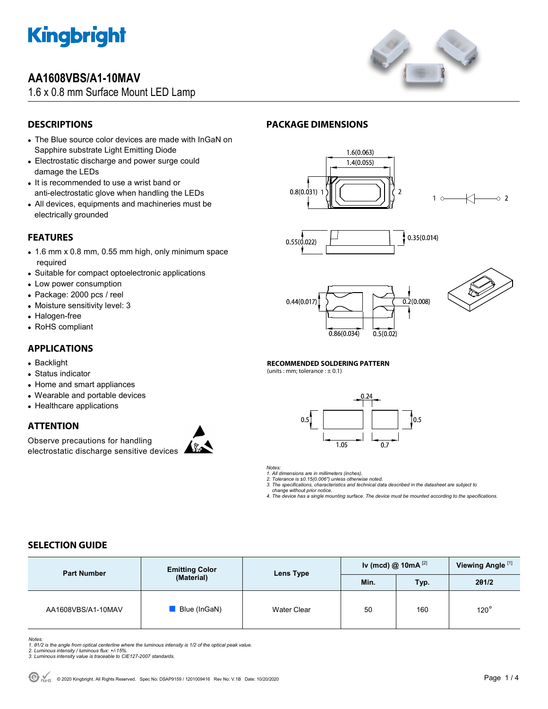

# **AA1608VBS/A1-10MAV**

1.6 x 0.8 mm Surface Mount LED Lamp



# **DESCRIPTIONS**

- The Blue source color devices are made with InGaN on Sapphire substrate Light Emitting Diode
- Electrostatic discharge and power surge could damage the LEDs
- It is recommended to use a wrist band or anti-electrostatic glove when handling the LEDs
- All devices, equipments and machineries must be electrically grounded

## **FEATURES**

- 1.6 mm x 0.8 mm, 0.55 mm high, only minimum space required
- Suitable for compact optoelectronic applications
- Low power consumption
- Package: 2000 pcs / reel
- Moisture sensitivity level: 3
- Halogen-free
- RoHS compliant

### **APPLICATIONS**

- Backlight
- Status indicator
- Home and smart appliances
- Wearable and portable devices
- Healthcare applications

## **ATTENTION**

Observe precautions for handling electrostatic discharge sensitive devices



# **PACKAGE DIMENSIONS**











#### **RECOMMENDED SOLDERING PATTERN**

(units : mm; tolerance :  $\pm$  0.1)



*Notes:* 

*1. All dimensions are in millimeters (inches).* 

*2. Tolerance is ±0.15(0.006") unless otherwise noted.* 

*3. The specifications, characteristics and technical data described in the datasheet are subject to change without prior notice.* 

*4. The device has a single mounting surface. The device must be mounted according to the specifications.* 

## **SELECTION GUIDE**

| <b>Part Number</b> | <b>Emitting Color</b><br>(Material) | Lens Type   | Iv (mcd) @ 10mA $^{[2]}$ |      | Viewing Angle <sup>[1]</sup> |
|--------------------|-------------------------------------|-------------|--------------------------|------|------------------------------|
|                    |                                     |             | Min.                     | Typ. | 201/2                        |
| AA1608VBS/A1-10MAV | Blue (InGaN)                        | Water Clear | 50                       | 160  | $120^\circ$                  |

Notes:<br>1. 81/2 is the angle from optical centerline where the luminous intensity is 1/2 of the optical peak value.<br>2. Luminous intensity / luminous flux: +/-15%.<br>3. Luminous intensity value is traceable to CIE127-2007 stan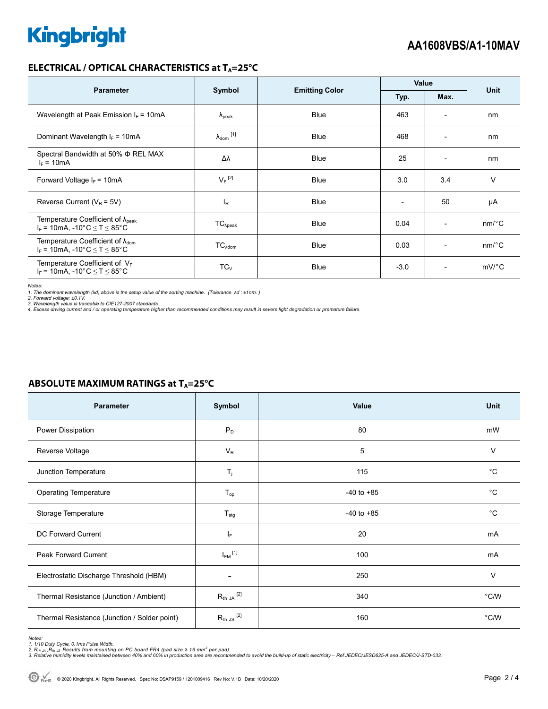### **ELECTRICAL / OPTICAL CHARACTERISTICS at T<sub>A</sub>=25°C**

| <b>Parameter</b>                                                                              | Symbol                     |                       | Value  |                          | <b>Unit</b>           |
|-----------------------------------------------------------------------------------------------|----------------------------|-----------------------|--------|--------------------------|-----------------------|
|                                                                                               |                            | <b>Emitting Color</b> | Typ.   | Max.                     |                       |
| Wavelength at Peak Emission $I_F = 10mA$                                                      | $\Lambda_{\rm peak}$       | <b>Blue</b>           | 463    | $\overline{\phantom{0}}$ | nm                    |
| Dominant Wavelength $I_F = 10mA$                                                              | $\lambda_{\text{dom}}$ [1] | <b>Blue</b>           | 468    | $\overline{\phantom{0}}$ | nm                    |
| Spectral Bandwidth at 50% Φ REL MAX<br>$I_F = 10mA$                                           | Δλ                         | <b>Blue</b>           | 25     | $\overline{\phantom{0}}$ | nm                    |
| Forward Voltage $I_F$ = 10mA                                                                  | $V_F$ <sup>[2]</sup>       | <b>Blue</b>           | 3.0    | 3.4                      | $\vee$                |
| Reverse Current ( $V_R$ = 5V)                                                                 | l <sub>R</sub>             | <b>Blue</b>           |        | 50                       | μA                    |
| Temperature Coefficient of $\lambda_{\text{peak}}$<br>$I_F$ = 10mA, -10°C $\leq T \leq 85$ °C | $TC_{\lambda peak}$        | <b>Blue</b>           | 0.04   | $\overline{a}$           | $nm$ <sup>o</sup> $C$ |
| Temperature Coefficient of $\lambda_{\text{dom}}$<br>$I_F$ = 10mA, -10°C $\leq T \leq 85$ °C  | $TC_{\lambda$ dom          | <b>Blue</b>           | 0.03   | $\overline{\phantom{a}}$ | $nm$ <sup>o</sup> $C$ |
| Temperature Coefficient of $V_F$<br>$I_F$ = 10mA, -10°C $\leq T \leq 85$ °C                   | $TC_{V}$                   | <b>Blue</b>           | $-3.0$ | $\overline{\phantom{0}}$ | $mV$ °C               |

*Notes:* 

1. The dominant wavelength (λd) above is the setup value of the sorting machine. (Tolerance λd : ±1nm. )<br>2. Forward voltage: ±0.1V.<br>3. Wavelength value is traceable to CIE127-2007 standards.<br>4. Excess driving current and

| <b>Parameter</b>                             | Symbol                      | Value          | Unit           |
|----------------------------------------------|-----------------------------|----------------|----------------|
| Power Dissipation                            | $P_D$                       | 80             | mW             |
| Reverse Voltage                              | $V_R$                       | 5              | $\vee$         |
| Junction Temperature                         | $T_j$                       | 115            | $^{\circ}C$    |
| <b>Operating Temperature</b>                 | $T_{op}$                    | $-40$ to $+85$ | $^{\circ}C$    |
| Storage Temperature                          | $T_{\text{stg}}$            | $-40$ to $+85$ | $^{\circ}C$    |
| DC Forward Current                           | $I_F$                       | 20             | mA             |
| <b>Peak Forward Current</b>                  | $I_{FM}$ <sup>[1]</sup>     | 100            | mA             |
| Electrostatic Discharge Threshold (HBM)      | $\overline{\phantom{a}}$    | 250            | $\vee$         |
| Thermal Resistance (Junction / Ambient)      | $R_{\text{th JA}}$ $^{[2]}$ | 340            | $^{\circ}$ C/W |
| Thermal Resistance (Junction / Solder point) | $R_{th}$ JS $^{[2]}$        | 160            | $^{\circ}$ C/W |

# **ABSOLUTE MAXIMUM RATINGS at T<sub>A</sub>=25°C**

Notes:<br>1. 1/10 Duty Cycle, 0.1ms Pulse Width.<br>2. R<sub>th JA</sub> ,R<sub>th JS</sub> Results from mounting on PC board FR4 (pad size ≥ 16 mm<sup>2</sup> per pad).<br>3. Relative humidity levels maintained between 40% and 60% in production area are re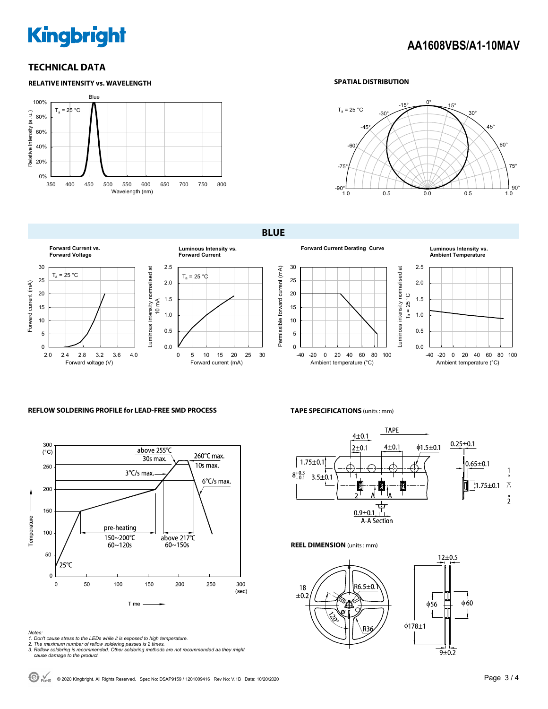# **Kingbright**

### **TECHNICAL DATA**



### **SPATIAL DISTRIBUTION**



**BLUE** 





**Forward Current Derating Curve Luminous Intensity vs.** 



**Ambient Temperature**



### **REFLOW SOLDERING PROFILE for LEAD-FREE SMD PROCESS**



### **TAPE SPECIFICATIONS** (units : mm)



**REEL DIMENSION** (units : mm)



*Notes:* 

- *1. Don't cause stress to the LEDs while it is exposed to high temperature.*
- *2. The maximum number of reflow soldering passes is 2 times. 3. Reflow soldering is recommended. Other soldering methods are not recommended as they might cause damage to the product.*